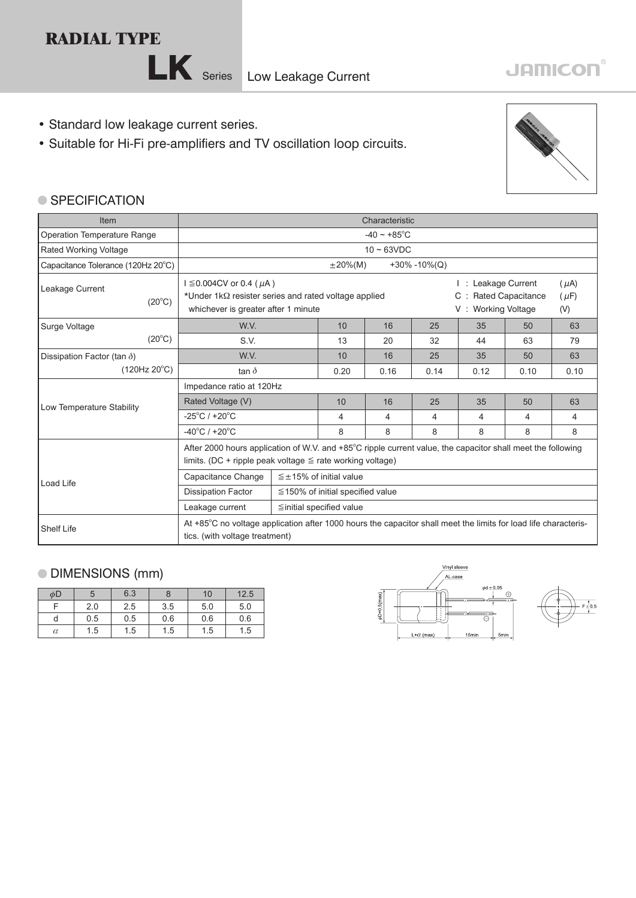## **RADIAL TYPE**



- Standard low leakage current series.
- Suitable for Hi-Fi pre-amplifiers and TV oscillation loop circuits.



## ● SPECIFICATION

| <b>Item</b>                                                                                                                                                            | Characteristic                                                                                                                                                                          |                                        |      |      |      |                                                                                                                           |      |      |
|------------------------------------------------------------------------------------------------------------------------------------------------------------------------|-----------------------------------------------------------------------------------------------------------------------------------------------------------------------------------------|----------------------------------------|------|------|------|---------------------------------------------------------------------------------------------------------------------------|------|------|
| <b>Operation Temperature Range</b>                                                                                                                                     | $-40 \sim +85^{\circ}$ C                                                                                                                                                                |                                        |      |      |      |                                                                                                                           |      |      |
| <b>Rated Working Voltage</b>                                                                                                                                           | $10 \sim 63$ VDC                                                                                                                                                                        |                                        |      |      |      |                                                                                                                           |      |      |
| Capacitance Tolerance (120Hz 20°C)                                                                                                                                     | $+30\% -10\%$ (Q)<br>$\pm 20\%$ (M)                                                                                                                                                     |                                        |      |      |      |                                                                                                                           |      |      |
| Leakage Current<br>$(20^{\circ}C)$                                                                                                                                     | $I \leq 0.004$ CV or 0.4 (µA)<br>*Under $1k\Omega$ resister series and rated voltage applied<br>whichever is greater after 1 minute                                                     |                                        |      |      |      | I: Leakage Current<br>$(\mu A)$<br><b>Rated Capacitance</b><br>$(\mu F)$<br>$C$ :<br><b>Working Voltage</b><br>(V)<br>V : |      |      |
| Surge Voltage                                                                                                                                                          | W.V.                                                                                                                                                                                    |                                        | 10   | 16   | 25   | 35                                                                                                                        | 50   | 63   |
| $(20^{\circ}C)$                                                                                                                                                        | S.V.                                                                                                                                                                                    |                                        | 13   | 20   | 32   | 44                                                                                                                        | 63   | 79   |
| Dissipation Factor (tan $\delta$ )                                                                                                                                     | W.V.                                                                                                                                                                                    |                                        | 10   | 16   | 25   | 35                                                                                                                        | 50   | 63   |
| (120Hz 20°C)                                                                                                                                                           | tan $\delta$                                                                                                                                                                            |                                        | 0.20 | 0.16 | 0.14 | 0.12                                                                                                                      | 0.10 | 0.10 |
|                                                                                                                                                                        | Impedance ratio at 120Hz                                                                                                                                                                |                                        |      |      |      |                                                                                                                           |      |      |
| Low Temperature Stability                                                                                                                                              | Rated Voltage (V)                                                                                                                                                                       |                                        | 10   | 16   | 25   | 35                                                                                                                        | 50   | 63   |
|                                                                                                                                                                        | $-25^{\circ}$ C / +20 $^{\circ}$ C                                                                                                                                                      |                                        | 4    | 4    | 4    | 4                                                                                                                         | 4    | 4    |
|                                                                                                                                                                        | $-40^{\circ}$ C / +20 $^{\circ}$ C                                                                                                                                                      |                                        | 8    | 8    | 8    | 8                                                                                                                         | 8    |      |
|                                                                                                                                                                        | After 2000 hours application of W.V. and $+85^{\circ}$ C ripple current value, the capacitor shall meet the following<br>limits. (DC + ripple peak voltage $\leq$ rate working voltage) |                                        |      |      |      |                                                                                                                           |      |      |
| Load Life                                                                                                                                                              | Capacitance Change                                                                                                                                                                      | $\leq \pm 15\%$ of initial value       |      |      |      |                                                                                                                           |      |      |
|                                                                                                                                                                        | <b>Dissipation Factor</b>                                                                                                                                                               | $\leq$ 150% of initial specified value |      |      |      |                                                                                                                           |      |      |
| Leakage current<br>$\leq$ initial specified value                                                                                                                      |                                                                                                                                                                                         |                                        |      |      |      |                                                                                                                           |      |      |
| At +85°C no voltage application after 1000 hours the capacitor shall meet the limits for load life characteris-<br><b>Shelf Life</b><br>tics. (with voltage treatment) |                                                                                                                                                                                         |                                        |      |      |      |                                                                                                                           |      |      |

## DIMENSIONS (mm)

| φD       | 5   | 6.3 |     | 10  | 12.5 |
|----------|-----|-----|-----|-----|------|
|          | 2.0 | 2.5 | 3.5 | 5.0 | 5.0  |
|          | 0.5 | 0.5 | 0.6 | 0.6 | 0.6  |
| $\alpha$ | 1.5 | 1.5 | 1.5 | 1.5 | 1.5  |